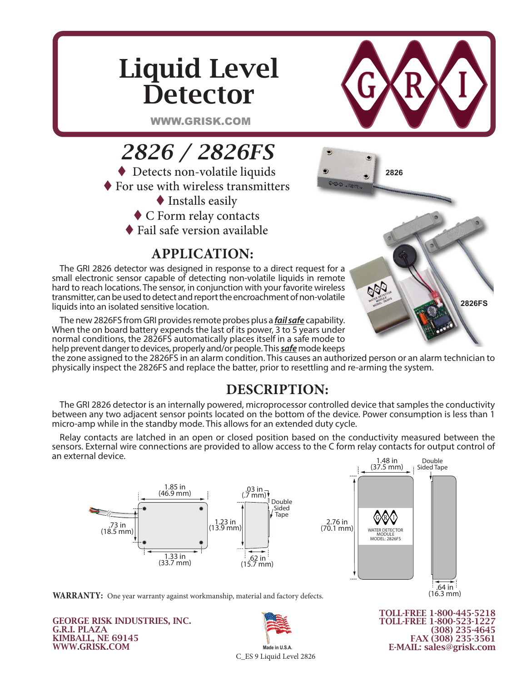## Liquid Level **Detector**



WWW.GRISK.COM



## **APPLICATION:**

The GRI 2826 detector was designed in response to a direct request for a small electronic sensor capable of detecting non-volatile liquids in remote hard to reach locations. The sensor, in conjunction with your favorite wireless transmitter, can be used to detect and report the encroachment of non-volatile liquids into an isolated sensitive location.

The new 2826FS from GRI provides remote probes plus a *fail safe* capability. When the on board battery expends the last of its power, 3 to 5 years under normal conditions, the 2826FS automatically places itself in a safe mode to help prevent danger to devices, properly and/or people. This *safe* mode keeps



the zone assigned to the 2826FS in an alarm condition. This causes an authorized person or an alarm technician to physically inspect the 2826FS and replace the batter, prior to resettling and re-arming the system.

## **DESCRIPTION:**

The GRI 2826 detector is an internally powered, microprocessor controlled device that samples the conductivity<br>etween any two adjacent sensor points located on the bottom of the device. Power consumption is less than 1<br>icr between any two adjacent sensor points located on the bottom of the device. Power consumption is less than 1 **Exercise any the dependence power conservation in a seriour of the defice**<br>micro-amp while in the standby mode. This allows for an extended duty cycle.

Relay contacts are latched in an open or closed position based on the conductivity measured between the sensors. External wire connections are provided to allow access to the C form relay contacts for output control of an external device. Double



**WARRANTY:** One year warranty against workmanship, material and factory defects.

GEORGE RISK INDUSTRIES, INC. G.R.I. PLAZA KIMBALL, NE 69145 WWW.GRISK.COM



TOLL-FREE 1-800-445-5218 TOLL-FREE 1-800-523-1227 (308) 235-4645 FAX (308) 235-3561 E-MAIL: sales@grisk.com

.64 in (16.3 mm)